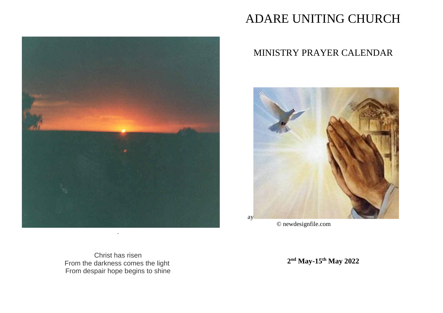

# ADARE UNITING CHURCH

# MINISTRY PRAYER CALENDAR



© newdesignfile.com

Christ has risen From the darkness comes the light From despair hope begins to shine

**2 nd May-15th May 2022**